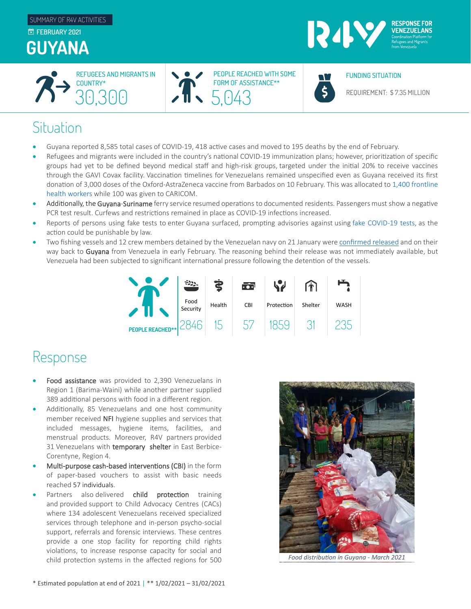



PEOPLE REACHED WITH SOME FORM OF ASSISTANCE\*\* REFUGEES AND MIGRANTS IN  $\bullet$   $\bullet$  People reached with some  $\bullet$   $\bullet$  funding situation



REQUIREMENT: \$ 7.35 MILLION

## **Situation**

- Guyana reported 8,585 total cases of COVID-19, 418 active cases and moved to 195 deaths by the end of February.
- Refugees and migrants were included in the country's national COVID-19 immunization plans; however, prioritization of specific groups had yet to be defined beyond medical staff and high-risk groups, targeted under the initial 20% to receive vaccines through the GAVI Covax facility. Vaccination timelines for Venezuelans remained unspecified even as Guyana received its first donation of 3,000 doses of the Oxford-AstraZeneca vaccine from Barbados on 10 February. This was allocated to 1,400 frontline [health workers](https://www.paho.org/en/news/11-2-2021-nurse-administers-first-shot-astrazeneca-chadox1-ncov-19-vaccine-brinnet-bernarai-0) while 100 was given to CARICOM.
- Additionally, the Guyana-Suriname ferry service resumed operations to documented residents. Passengers must show a negative PCR test result. Curfews and restrictions remained in place as COVID-19 infections increased.
- Reports of persons using fake tests to enter Guyana surfaced, prompting advisories against using [fake COVID](https://newsroom.gy/2021/02/17/persons-found-with-fake-covid-tests-will-be-prosecuted-dr-anthony/)-19 tests, as the action could be punishable by law.
- Two fishing vessels and 12 crew members detained by the Venezuelan navy on 21 January wer[e confirmed released](https://www.stabroeknews.com/2021/02/03/news/guyana/venezuela-frees-boats-crews/) and on their way back to Guyana from Venezuela in early February. The reasoning behind their release was not immediately available, but Venezuela had been subjected to significant international pressure following the detention of the vessels.



## Response

- Food assistance was provided to 2,390 Venezuelans in Region 1 (Barima-Waini) while another partner supplied 389 additional persons with food in a different region.
- Additionally, 85 Venezuelans and one host community member received NFI hygiene supplies and services that included messages, hygiene items, facilities, and menstrual products. Moreover, R4V partners provided 31 Venezuelans with temporary shelter in East Berbice-Corentyne, Region 4.
- Multi-purpose cash-based interventions (CBI) in the form of paper-based vouchers to assist with basic needs reached 57 individuals.
- Partners also delivered child protection training and provided support to Child Advocacy Centres (CACs) where 134 adolescent Venezuelans received specialized services through telephone and in-person psycho-social support, referrals and forensic interviews. These centres provide a one stop facility for reporting child rights violations, to increase response capacity for social and child protection systems in the affected regions for 500



*Food distribution in Guyana - March 2021*